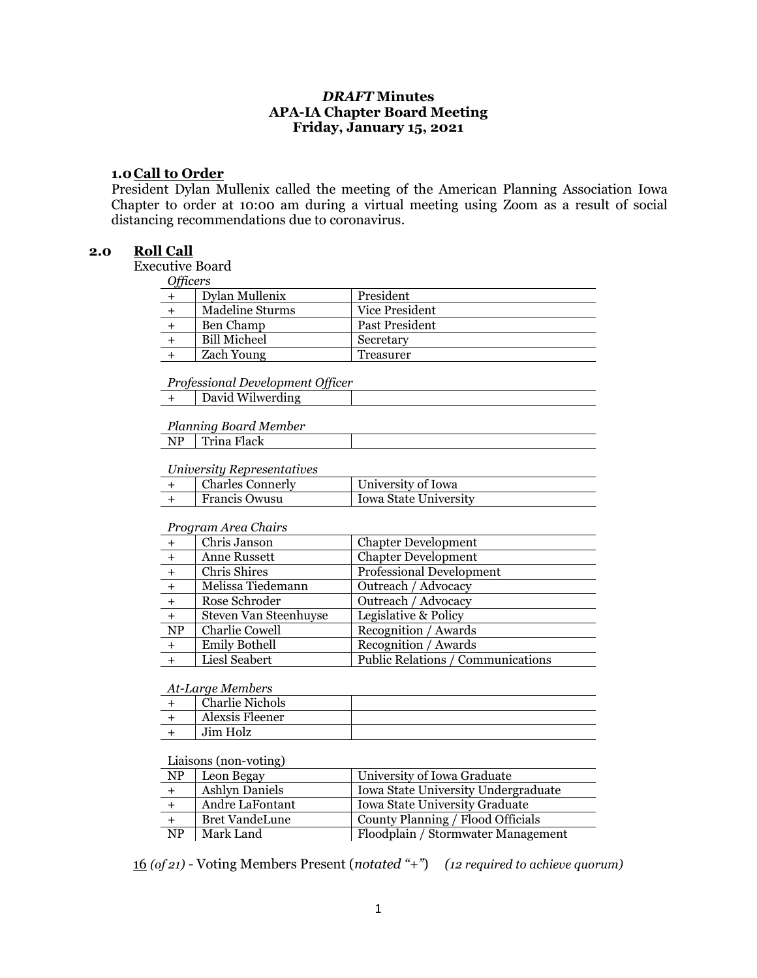# *DRAFT* **Minutes APA-IA Chapter Board Meeting Friday, January 15, 2021**

#### **1.0Call to Order**

President Dylan Mullenix called the meeting of the American Planning Association Iowa Chapter to order at 10:00 am during a virtual meeting using Zoom as a result of social distancing recommendations due to coronavirus.

#### **2.0 Roll Call**

Executive Board

*Officers*

| $O$ // $C13$ |                        |                |
|--------------|------------------------|----------------|
|              | Dylan Mullenix         | President      |
|              | <b>Madeline Sturms</b> | Vice President |
|              | Ben Champ              | Past President |
|              | <b>Bill Micheel</b>    | Secretary      |
|              | <b>Zach Young</b>      | Treasurer      |
|              |                        |                |

*Professional Development Officer*

|  | David Wilwerding |
|--|------------------|
|--|------------------|

*Planning Board Member*

## *University Representatives*

| <b>Charles Connerly</b> | University of Iowa    |
|-------------------------|-----------------------|
| <b>Francis Owusu</b>    | Iowa State University |

#### *Program Area Chairs*

| $+$                    | Chris Janson          | <b>Chapter Development</b>               |
|------------------------|-----------------------|------------------------------------------|
|                        | Anne Russett          | <b>Chapter Development</b>               |
|                        | Chris Shires          | Professional Development                 |
|                        | Melissa Tiedemann     | Outreach / Advocacy                      |
| $+$                    | Rose Schroder         | Outreach / Advocacy                      |
| $+$                    | Steven Van Steenhuyse | Legislative & Policy                     |
| $\overline{\text{NP}}$ | Charlie Cowell        | Recognition / Awards                     |
| $+$                    | <b>Emily Bothell</b>  | Recognition / Awards                     |
|                        | Liesl Seabert         | <b>Public Relations / Communications</b> |

#### *At-Large Members*

| <b>Charlie Nichols</b> |  |
|------------------------|--|
| Alexsis Fleener        |  |
| Jim Holz               |  |

#### Liaisons (non-voting)

| <b>NP</b> | Leon Begay            | University of Iowa Graduate         |
|-----------|-----------------------|-------------------------------------|
|           | <b>Ashlyn Daniels</b> | Iowa State University Undergraduate |
|           | Andre LaFontant       | Iowa State University Graduate      |
|           | <b>Bret VandeLune</b> | County Planning / Flood Officials   |
| <b>NP</b> | Mark Land             | Floodplain / Stormwater Management  |

16 *(of 21)* - Voting Members Present (*notated "+"*) *(12 required to achieve quorum)*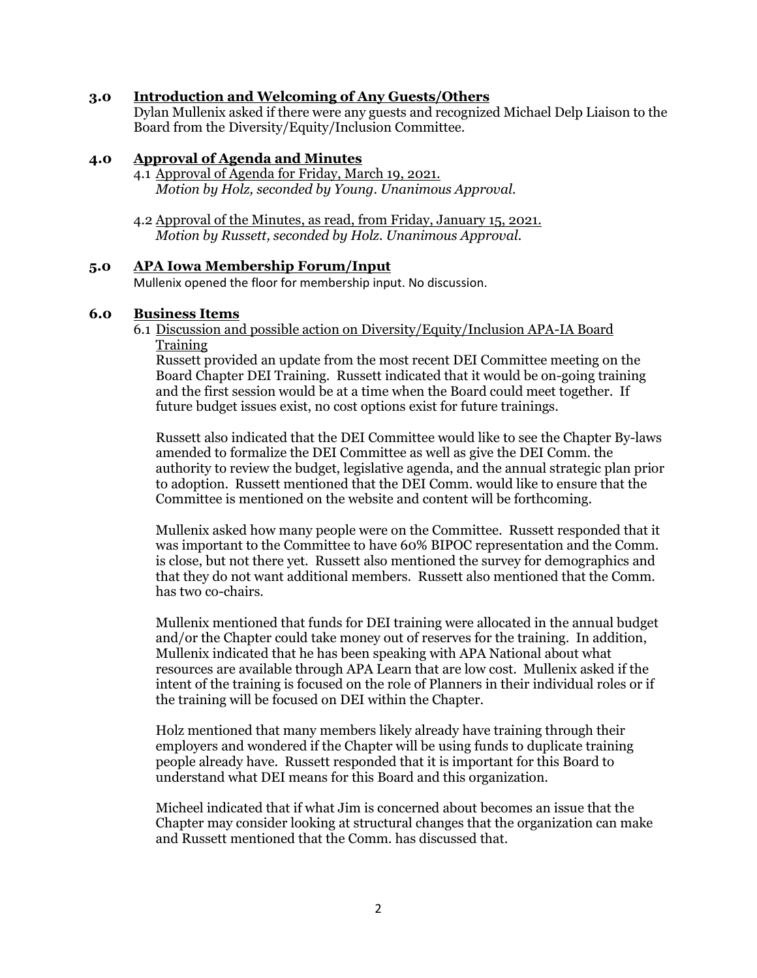## **3.0 Introduction and Welcoming of Any Guests/Others**

Dylan Mullenix asked if there were any guests and recognized Michael Delp Liaison to the Board from the Diversity/Equity/Inclusion Committee.

#### **4.0 Approval of Agenda and Minutes**

- 4.1 Approval of Agenda for Friday, March 19, 2021. *Motion by Holz, seconded by Young. Unanimous Approval.*
- 4.2 Approval of the Minutes, as read, from Friday, January 15, 2021. *Motion by Russett, seconded by Holz. Unanimous Approval.*

#### **5.0 APA Iowa Membership Forum/Input**

Mullenix opened the floor for membership input. No discussion.

#### **6.0 Business Items**

6.1 Discussion and possible action on Diversity/Equity/Inclusion APA-IA Board **Training** 

Russett provided an update from the most recent DEI Committee meeting on the Board Chapter DEI Training. Russett indicated that it would be on-going training and the first session would be at a time when the Board could meet together. If future budget issues exist, no cost options exist for future trainings.

Russett also indicated that the DEI Committee would like to see the Chapter By-laws amended to formalize the DEI Committee as well as give the DEI Comm. the authority to review the budget, legislative agenda, and the annual strategic plan prior to adoption. Russett mentioned that the DEI Comm. would like to ensure that the Committee is mentioned on the website and content will be forthcoming.

Mullenix asked how many people were on the Committee. Russett responded that it was important to the Committee to have 60% BIPOC representation and the Comm. is close, but not there yet. Russett also mentioned the survey for demographics and that they do not want additional members. Russett also mentioned that the Comm. has two co-chairs.

Mullenix mentioned that funds for DEI training were allocated in the annual budget and/or the Chapter could take money out of reserves for the training. In addition, Mullenix indicated that he has been speaking with APA National about what resources are available through APA Learn that are low cost. Mullenix asked if the intent of the training is focused on the role of Planners in their individual roles or if the training will be focused on DEI within the Chapter.

Holz mentioned that many members likely already have training through their employers and wondered if the Chapter will be using funds to duplicate training people already have. Russett responded that it is important for this Board to understand what DEI means for this Board and this organization.

Micheel indicated that if what Jim is concerned about becomes an issue that the Chapter may consider looking at structural changes that the organization can make and Russett mentioned that the Comm. has discussed that.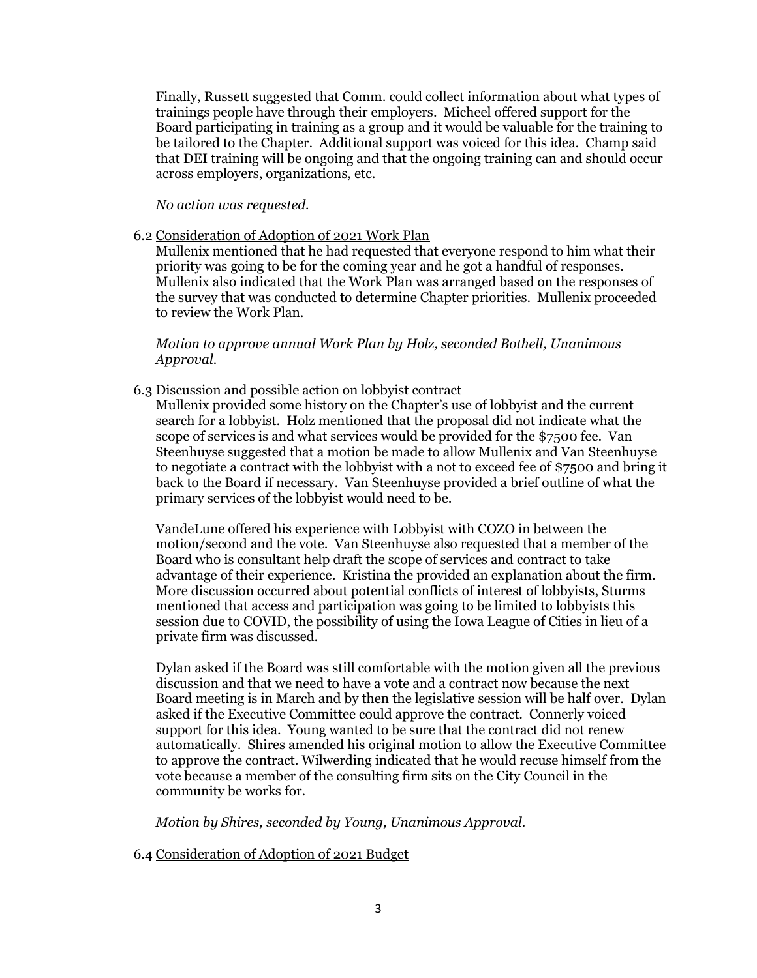Finally, Russett suggested that Comm. could collect information about what types of trainings people have through their employers. Micheel offered support for the Board participating in training as a group and it would be valuable for the training to be tailored to the Chapter. Additional support was voiced for this idea. Champ said that DEI training will be ongoing and that the ongoing training can and should occur across employers, organizations, etc.

*No action was requested.*

6.2 Consideration of Adoption of 2021 Work Plan

Mullenix mentioned that he had requested that everyone respond to him what their priority was going to be for the coming year and he got a handful of responses. Mullenix also indicated that the Work Plan was arranged based on the responses of the survey that was conducted to determine Chapter priorities. Mullenix proceeded to review the Work Plan.

*Motion to approve annual Work Plan by Holz, seconded Bothell, Unanimous Approval.*

6.3 Discussion and possible action on lobbyist contract

Mullenix provided some history on the Chapter's use of lobbyist and the current search for a lobbyist. Holz mentioned that the proposal did not indicate what the scope of services is and what services would be provided for the \$7500 fee. Van Steenhuyse suggested that a motion be made to allow Mullenix and Van Steenhuyse to negotiate a contract with the lobbyist with a not to exceed fee of \$7500 and bring it back to the Board if necessary. Van Steenhuyse provided a brief outline of what the primary services of the lobbyist would need to be.

VandeLune offered his experience with Lobbyist with COZO in between the motion/second and the vote. Van Steenhuyse also requested that a member of the Board who is consultant help draft the scope of services and contract to take advantage of their experience. Kristina the provided an explanation about the firm. More discussion occurred about potential conflicts of interest of lobbyists, Sturms mentioned that access and participation was going to be limited to lobbyists this session due to COVID, the possibility of using the Iowa League of Cities in lieu of a private firm was discussed.

Dylan asked if the Board was still comfortable with the motion given all the previous discussion and that we need to have a vote and a contract now because the next Board meeting is in March and by then the legislative session will be half over. Dylan asked if the Executive Committee could approve the contract. Connerly voiced support for this idea. Young wanted to be sure that the contract did not renew automatically. Shires amended his original motion to allow the Executive Committee to approve the contract. Wilwerding indicated that he would recuse himself from the vote because a member of the consulting firm sits on the City Council in the community be works for.

*Motion by Shires, seconded by Young, Unanimous Approval.*

## 6.4 Consideration of Adoption of 2021 Budget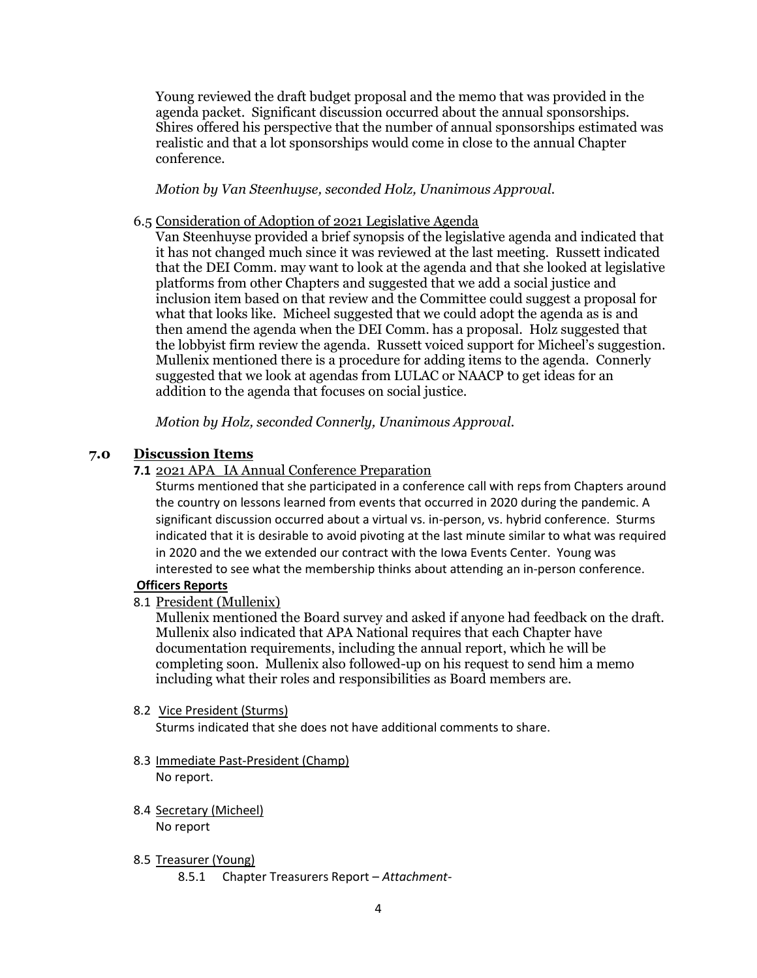Young reviewed the draft budget proposal and the memo that was provided in the agenda packet. Significant discussion occurred about the annual sponsorships. Shires offered his perspective that the number of annual sponsorships estimated was realistic and that a lot sponsorships would come in close to the annual Chapter conference.

*Motion by Van Steenhuyse, seconded Holz, Unanimous Approval.*

# 6.5 Consideration of Adoption of 2021 Legislative Agenda

Van Steenhuyse provided a brief synopsis of the legislative agenda and indicated that it has not changed much since it was reviewed at the last meeting. Russett indicated that the DEI Comm. may want to look at the agenda and that she looked at legislative platforms from other Chapters and suggested that we add a social justice and inclusion item based on that review and the Committee could suggest a proposal for what that looks like. Micheel suggested that we could adopt the agenda as is and then amend the agenda when the DEI Comm. has a proposal. Holz suggested that the lobbyist firm review the agenda. Russett voiced support for Micheel's suggestion. Mullenix mentioned there is a procedure for adding items to the agenda. Connerly suggested that we look at agendas from LULAC or NAACP to get ideas for an addition to the agenda that focuses on social justice.

*Motion by Holz, seconded Connerly, Unanimous Approval.*

# **7.0 Discussion Items**

# **7.1** 2021 APA\_IA Annual Conference Preparation

Sturms mentioned that she participated in a conference call with reps from Chapters around the country on lessons learned from events that occurred in 2020 during the pandemic. A significant discussion occurred about a virtual vs. in-person, vs. hybrid conference. Sturms indicated that it is desirable to avoid pivoting at the last minute similar to what was required in 2020 and the we extended our contract with the Iowa Events Center. Young was interested to see what the membership thinks about attending an in-person conference.

## **Officers Reports**

8.1 President (Mullenix)

Mullenix mentioned the Board survey and asked if anyone had feedback on the draft. Mullenix also indicated that APA National requires that each Chapter have documentation requirements, including the annual report, which he will be completing soon. Mullenix also followed-up on his request to send him a memo including what their roles and responsibilities as Board members are.

## 8.2 Vice President (Sturms)

Sturms indicated that she does not have additional comments to share.

- 8.3 Immediate Past-President (Champ) No report.
- 8.4 Secretary (Micheel)

No report

- 8.5 Treasurer (Young)
	- 8.5.1 Chapter Treasurers Report *Attachment-*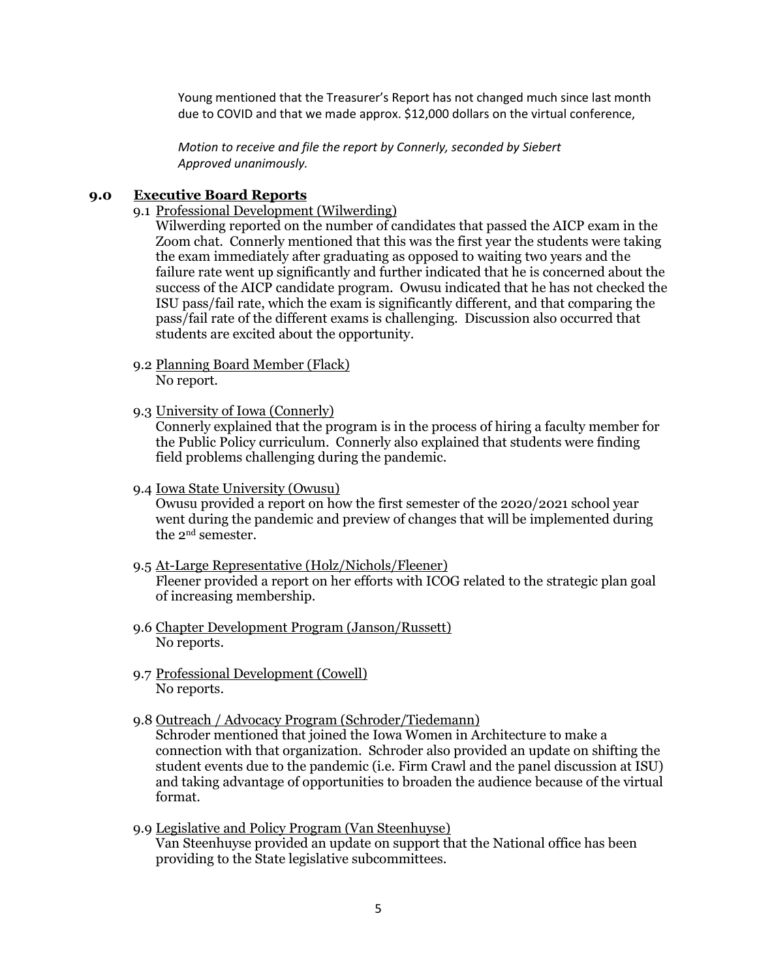Young mentioned that the Treasurer's Report has not changed much since last month due to COVID and that we made approx. \$12,000 dollars on the virtual conference,

*Motion to receive and file the report by Connerly, seconded by Siebert Approved unanimously.*

#### **9.0 Executive Board Reports**

9.1 Professional Development (Wilwerding)

Wilwerding reported on the number of candidates that passed the AICP exam in the Zoom chat. Connerly mentioned that this was the first year the students were taking the exam immediately after graduating as opposed to waiting two years and the failure rate went up significantly and further indicated that he is concerned about the success of the AICP candidate program. Owusu indicated that he has not checked the ISU pass/fail rate, which the exam is significantly different, and that comparing the pass/fail rate of the different exams is challenging. Discussion also occurred that students are excited about the opportunity.

- 9.2 Planning Board Member (Flack) No report.
- 9.3 University of Iowa (Connerly)

Connerly explained that the program is in the process of hiring a faculty member for the Public Policy curriculum. Connerly also explained that students were finding field problems challenging during the pandemic.

9.4 Iowa State University (Owusu)

Owusu provided a report on how the first semester of the 2020/2021 school year went during the pandemic and preview of changes that will be implemented during the 2nd semester.

- 9.5 At-Large Representative (Holz/Nichols/Fleener) Fleener provided a report on her efforts with ICOG related to the strategic plan goal of increasing membership.
- 9.6 Chapter Development Program (Janson/Russett) No reports.
- 9.7 Professional Development (Cowell) No reports.
- 9.8 Outreach / Advocacy Program (Schroder/Tiedemann)

Schroder mentioned that joined the Iowa Women in Architecture to make a connection with that organization. Schroder also provided an update on shifting the student events due to the pandemic (i.e. Firm Crawl and the panel discussion at ISU) and taking advantage of opportunities to broaden the audience because of the virtual format.

9.9 Legislative and Policy Program (Van Steenhuyse) Van Steenhuyse provided an update on support that the National office has been providing to the State legislative subcommittees.